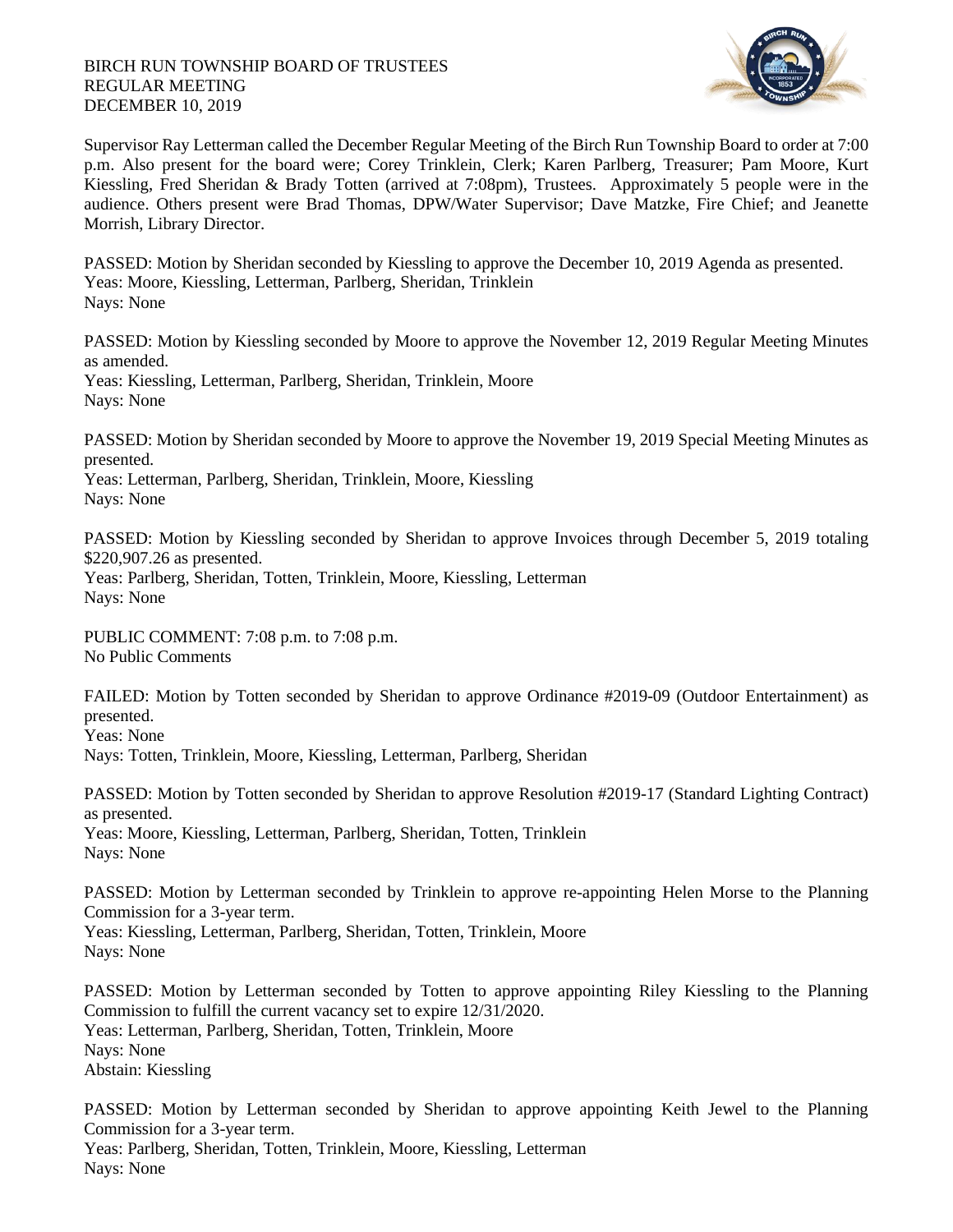## BIRCH RUN TOWNSHIP BOARD OF TRUSTEES REGULAR MEETING DECEMBER 10, 2019



Supervisor Ray Letterman called the December Regular Meeting of the Birch Run Township Board to order at 7:00 p.m. Also present for the board were; Corey Trinklein, Clerk; Karen Parlberg, Treasurer; Pam Moore, Kurt Kiessling, Fred Sheridan & Brady Totten (arrived at 7:08pm), Trustees. Approximately 5 people were in the audience. Others present were Brad Thomas, DPW/Water Supervisor; Dave Matzke, Fire Chief; and Jeanette Morrish, Library Director.

PASSED: Motion by Sheridan seconded by Kiessling to approve the December 10, 2019 Agenda as presented. Yeas: Moore, Kiessling, Letterman, Parlberg, Sheridan, Trinklein Nays: None

PASSED: Motion by Kiessling seconded by Moore to approve the November 12, 2019 Regular Meeting Minutes as amended.

Yeas: Kiessling, Letterman, Parlberg, Sheridan, Trinklein, Moore Nays: None

PASSED: Motion by Sheridan seconded by Moore to approve the November 19, 2019 Special Meeting Minutes as presented.

Yeas: Letterman, Parlberg, Sheridan, Trinklein, Moore, Kiessling Nays: None

PASSED: Motion by Kiessling seconded by Sheridan to approve Invoices through December 5, 2019 totaling \$220,907.26 as presented.

Yeas: Parlberg, Sheridan, Totten, Trinklein, Moore, Kiessling, Letterman Nays: None

PUBLIC COMMENT: 7:08 p.m. to 7:08 p.m. No Public Comments

FAILED: Motion by Totten seconded by Sheridan to approve Ordinance #2019-09 (Outdoor Entertainment) as presented.

Yeas: None

Nays: Totten, Trinklein, Moore, Kiessling, Letterman, Parlberg, Sheridan

PASSED: Motion by Totten seconded by Sheridan to approve Resolution #2019-17 (Standard Lighting Contract) as presented. Yeas: Moore, Kiessling, Letterman, Parlberg, Sheridan, Totten, Trinklein

Nays: None

PASSED: Motion by Letterman seconded by Trinklein to approve re-appointing Helen Morse to the Planning Commission for a 3-year term.

Yeas: Kiessling, Letterman, Parlberg, Sheridan, Totten, Trinklein, Moore Nays: None

PASSED: Motion by Letterman seconded by Totten to approve appointing Riley Kiessling to the Planning Commission to fulfill the current vacancy set to expire 12/31/2020. Yeas: Letterman, Parlberg, Sheridan, Totten, Trinklein, Moore Nays: None Abstain: Kiessling

PASSED: Motion by Letterman seconded by Sheridan to approve appointing Keith Jewel to the Planning Commission for a 3-year term. Yeas: Parlberg, Sheridan, Totten, Trinklein, Moore, Kiessling, Letterman Nays: None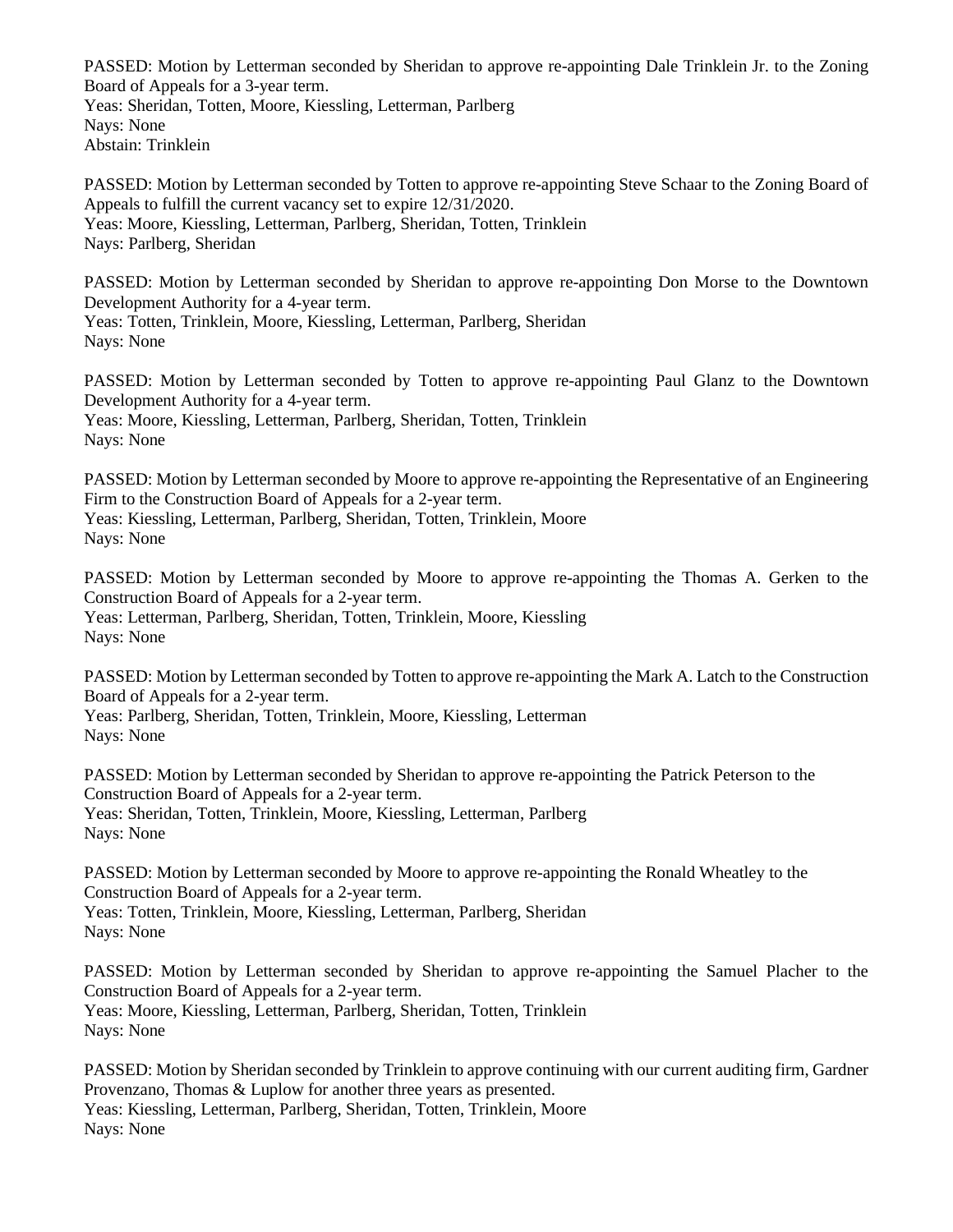PASSED: Motion by Letterman seconded by Sheridan to approve re-appointing Dale Trinklein Jr. to the Zoning Board of Appeals for a 3-year term. Yeas: Sheridan, Totten, Moore, Kiessling, Letterman, Parlberg Nays: None Abstain: Trinklein

PASSED: Motion by Letterman seconded by Totten to approve re-appointing Steve Schaar to the Zoning Board of Appeals to fulfill the current vacancy set to expire 12/31/2020. Yeas: Moore, Kiessling, Letterman, Parlberg, Sheridan, Totten, Trinklein Nays: Parlberg, Sheridan

PASSED: Motion by Letterman seconded by Sheridan to approve re-appointing Don Morse to the Downtown Development Authority for a 4-year term. Yeas: Totten, Trinklein, Moore, Kiessling, Letterman, Parlberg, Sheridan Nays: None

PASSED: Motion by Letterman seconded by Totten to approve re-appointing Paul Glanz to the Downtown Development Authority for a 4-year term. Yeas: Moore, Kiessling, Letterman, Parlberg, Sheridan, Totten, Trinklein Nays: None

PASSED: Motion by Letterman seconded by Moore to approve re-appointing the Representative of an Engineering Firm to the Construction Board of Appeals for a 2-year term. Yeas: Kiessling, Letterman, Parlberg, Sheridan, Totten, Trinklein, Moore Nays: None

PASSED: Motion by Letterman seconded by Moore to approve re-appointing the Thomas A. Gerken to the Construction Board of Appeals for a 2-year term. Yeas: Letterman, Parlberg, Sheridan, Totten, Trinklein, Moore, Kiessling Nays: None

PASSED: Motion by Letterman seconded by Totten to approve re-appointing the Mark A. Latch to the Construction Board of Appeals for a 2-year term. Yeas: Parlberg, Sheridan, Totten, Trinklein, Moore, Kiessling, Letterman

Nays: None

PASSED: Motion by Letterman seconded by Sheridan to approve re-appointing the Patrick Peterson to the Construction Board of Appeals for a 2-year term. Yeas: Sheridan, Totten, Trinklein, Moore, Kiessling, Letterman, Parlberg Nays: None

PASSED: Motion by Letterman seconded by Moore to approve re-appointing the Ronald Wheatley to the Construction Board of Appeals for a 2-year term. Yeas: Totten, Trinklein, Moore, Kiessling, Letterman, Parlberg, Sheridan Nays: None

PASSED: Motion by Letterman seconded by Sheridan to approve re-appointing the Samuel Placher to the Construction Board of Appeals for a 2-year term. Yeas: Moore, Kiessling, Letterman, Parlberg, Sheridan, Totten, Trinklein Nays: None

PASSED: Motion by Sheridan seconded by Trinklein to approve continuing with our current auditing firm, Gardner Provenzano, Thomas & Luplow for another three years as presented. Yeas: Kiessling, Letterman, Parlberg, Sheridan, Totten, Trinklein, Moore Nays: None